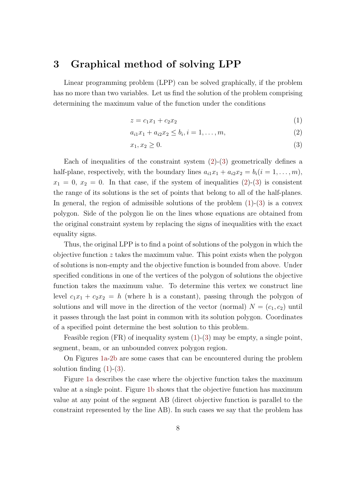## 3 Graphical method of solving LPP

Linear programming problem (LPP) can be solved graphically, if the problem has no more than two variables. Let us find the solution of the problem comprising determining the maximum value of the function under the conditions

<span id="page-0-2"></span><span id="page-0-0"></span>
$$
z = c_1 x_1 + c_2 x_2 \tag{1}
$$

$$
a_{i1}x_1 + a_{i2}x_2 \le b_i, i = 1, \dots, m,
$$
\n(2)

<span id="page-0-1"></span>
$$
x_1, x_2 \ge 0. \tag{3}
$$

Each of inequalities of the constraint system  $(2)-(3)$  $(2)-(3)$  $(2)-(3)$  geometrically defines a half-plane, respectively, with the boundary lines  $a_{i1}x_1 + a_{i2}x_2 = b_i(i = 1, \ldots, m)$ ,  $x_1 = 0, x_2 = 0$ . In that case, if the system of inequalities  $(2)-(3)$  $(2)-(3)$  $(2)-(3)$  is consistent the range of its solutions is the set of points that belong to all of the half-planes. In general, the region of admissible solutions of the problem  $(1)-(3)$  $(1)-(3)$  $(1)-(3)$  is a convex polygon. Side of the polygon lie on the lines whose equations are obtained from the original constraint system by replacing the signs of inequalities with the exact equality signs.

Thus, the original LPP is to find a point of solutions of the polygon in which the objective function  $z$  takes the maximum value. This point exists when the polygon of solutions is non-empty and the objective function is bounded from above. Under specified conditions in one of the vertices of the polygon of solutions the objective function takes the maximum value. To determine this vertex we construct line level  $c_1x_1 + c_2x_2 = h$  (where h is a constant), passing through the polygon of solutions and will move in the direction of the vector (normal)  $N = (c_1, c_2)$  until it passes through the last point in common with its solution polygon. Coordinates of a specified point determine the best solution to this problem.

Feasible region  $(FR)$  of inequality system  $(1)-(3)$  $(1)-(3)$  may be empty, a single point, segment, beam, or an unbounded convex polygon region.

On Figures [1a-](#page-1-0)[2b](#page-2-0) are some cases that can be encountered during the problem solution finding  $(1)-(3)$  $(1)-(3)$  $(1)-(3)$ .

Figure [1a](#page-1-0) describes the case where the objective function takes the maximum value at a single point. Figure [1b](#page-1-0) shows that the objective function has maximum value at any point of the segment AB (direct objective function is parallel to the constraint represented by the line AB). In such cases we say that the problem has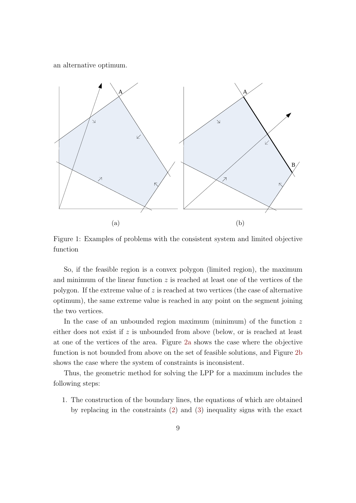an alternative optimum.

<span id="page-1-0"></span>

Figure 1: Examples of problems with the consistent system and limited objective function

So, if the feasible region is a convex polygon (limited region), the maximum and minimum of the linear function  $z$  is reached at least one of the vertices of the polygon. If the extreme value of  $z$  is reached at two vertices (the case of alternative optimum), the same extreme value is reached in any point on the segment joining the two vertices.

In the case of an unbounded region maximum (minimum) of the function z either does not exist if  $z$  is unbounded from above (below, or is reached at least at one of the vertices of the area. Figure [2a](#page-2-0) shows the case where the objective function is not bounded from above on the set of feasible solutions, and Figure [2b](#page-2-0) shows the case where the system of constraints is inconsistent.

Thus, the geometric method for solving the LPP for a maximum includes the following steps:

1. The construction of the boundary lines, the equations of which are obtained by replacing in the constraints [\(2\)](#page-0-0) and [\(3\)](#page-0-1) inequality signs with the exact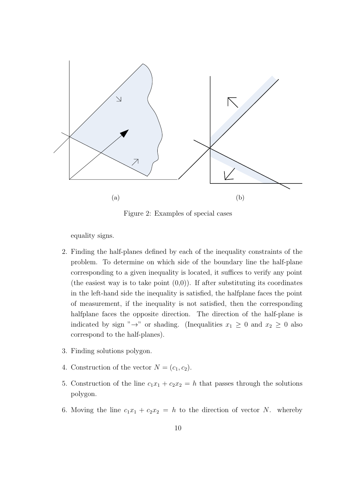<span id="page-2-0"></span>

Figure 2: Examples of special cases

equality signs.

- 2. Finding the half-planes defined by each of the inequality constraints of the problem. To determine on which side of the boundary line the half-plane corresponding to a given inequality is located, it suffices to verify any point (the easiest way is to take point  $(0,0)$ ). If after substituting its coordinates in the left-hand side the inequality is satisfied, the halfplane faces the point of measurement, if the inequality is not satisfied, then the corresponding halfplane faces the opposite direction. The direction of the half-plane is indicated by sign " $\rightarrow$ " or shading. (Inequalities  $x_1 \ge 0$  and  $x_2 \ge 0$  also correspond to the half-planes).
- 3. Finding solutions polygon.
- 4. Construction of the vector  $N = (c_1, c_2)$ .
- 5. Construction of the line  $c_1x_1 + c_2x_2 = h$  that passes through the solutions polygon.
- 6. Moving the line  $c_1x_1 + c_2x_2 = h$  to the direction of vector N. whereby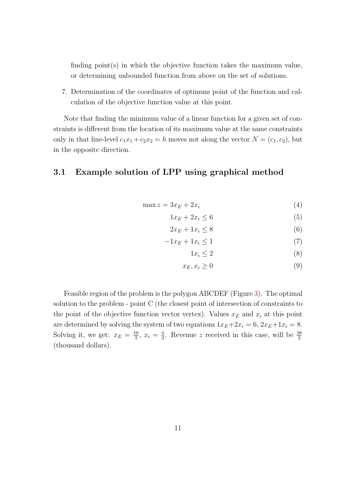finding point(s) in which the objective function takes the maximum value, or determining unbounded function from above on the set of solutions.

7. Determination of the coordinates of optimum point of the function and calculation of the objective function value at this point.

Note that finding the minimum value of a linear function for a given set of constraints is different from the location of its maximum value at the same constraints only in that line-level  $c_1x_1 + c_2x_2 = h$  moves not along the vector  $N = (c_1, c_2)$ , but in the opposite direction.

## 3.1 Example solution of LPP using graphical method

$$
\max z = 3x_E + 2x_i \tag{4}
$$

$$
1x_E + 2x_i \le 6\tag{5}
$$

$$
2x_E + 1x_i \le 8\tag{6}
$$

$$
-1x_E + 1x_i \le 1\tag{7}
$$

$$
1x_i \le 2\tag{8}
$$

$$
x_E, x_i \ge 0 \tag{9}
$$

Feasible region of the problem is the polygon ABCDEF (Figure [3\)](#page-4-0). The optimal solution to the problem - point C (the closest point of intersection of constraints to the point of the objective function vector vertex). Values  $x<sub>E</sub>$  and  $x<sub>i</sub>$  at this point are determined by solving the system of two equations  $1x_E + 2x_i = 6$ ,  $2x_E + 1x_i = 8$ . Solving it, we get:  $x_E = \frac{10}{3}$  $\frac{10}{3}$ ,  $x_i = \frac{4}{3}$  $\frac{4}{3}$ . Revenue z received in this case, will be  $\frac{38}{3}$ (thousand dollars).